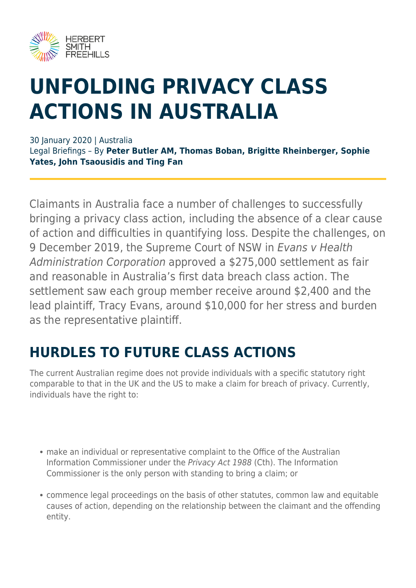

# **UNFOLDING PRIVACY CLASS ACTIONS IN AUSTRALIA**

#### 30 January 2020 | Australia

Legal Briefings – By **Peter Butler AM, Thomas Boban, Brigitte Rheinberger, Sophie Yates, John Tsaousidis and Ting Fan**

Claimants in Australia face a number of challenges to successfully bringing a privacy class action, including the absence of a clear cause of action and difficulties in quantifying loss. Despite the challenges, on 9 December 2019, the Supreme Court of NSW in Evans v Health Administration Corporation approved a \$275,000 settlement as fair and reasonable in Australia's first data breach class action. The settlement saw each group member receive around \$2,400 and the lead plaintiff, Tracy Evans, around \$10,000 for her stress and burden as the representative plaintiff.

#### **HURDLES TO FUTURE CLASS ACTIONS**

The current Australian regime does not provide individuals with a specific statutory right comparable to that in the UK and the US to make a claim for breach of privacy. Currently, individuals have the right to:

- make an individual or representative complaint to the Office of the Australian Information Commissioner under the Privacy Act 1988 (Cth). The Information Commissioner is the only person with standing to bring a claim; or
- commence legal proceedings on the basis of other statutes, common law and equitable causes of action, depending on the relationship between the claimant and the offending entity.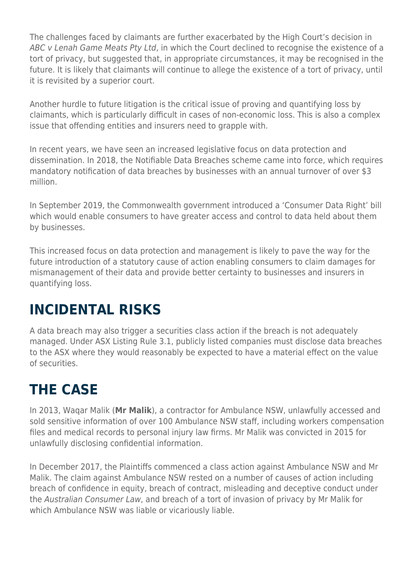The challenges faced by claimants are further exacerbated by the High Court's decision in ABC v Lenah Game Meats Pty Ltd, in which the Court declined to recognise the existence of a tort of privacy, but suggested that, in appropriate circumstances, it may be recognised in the future. It is likely that claimants will continue to allege the existence of a tort of privacy, until it is revisited by a superior court.

Another hurdle to future litigation is the critical issue of proving and quantifying loss by claimants, which is particularly difficult in cases of non-economic loss. This is also a complex issue that offending entities and insurers need to grapple with.

In recent years, we have seen an increased legislative focus on data protection and dissemination. In 2018, the Notifiable Data Breaches scheme came into force, which requires mandatory notification of data breaches by businesses with an annual turnover of over \$3 million.

In September 2019, the Commonwealth government introduced a 'Consumer Data Right' bill which would enable consumers to have greater access and control to data held about them by businesses.

This increased focus on data protection and management is likely to pave the way for the future introduction of a statutory cause of action enabling consumers to claim damages for mismanagement of their data and provide better certainty to businesses and insurers in quantifying loss.

## **INCIDENTAL RISKS**

A data breach may also trigger a securities class action if the breach is not adequately managed. Under ASX Listing Rule 3.1, publicly listed companies must disclose data breaches to the ASX where they would reasonably be expected to have a material effect on the value of securities.

# **THE CASE**

In 2013, Waqar Malik (**Mr Malik**), a contractor for Ambulance NSW, unlawfully accessed and sold sensitive information of over 100 Ambulance NSW staff, including workers compensation files and medical records to personal injury law firms. Mr Malik was convicted in 2015 for unlawfully disclosing confidential information.

In December 2017, the Plaintiffs commenced a class action against Ambulance NSW and Mr Malik. The claim against Ambulance NSW rested on a number of causes of action including breach of confidence in equity, breach of contract, misleading and deceptive conduct under the Australian Consumer Law, and breach of a tort of invasion of privacy by Mr Malik for which Ambulance NSW was liable or vicariously liable.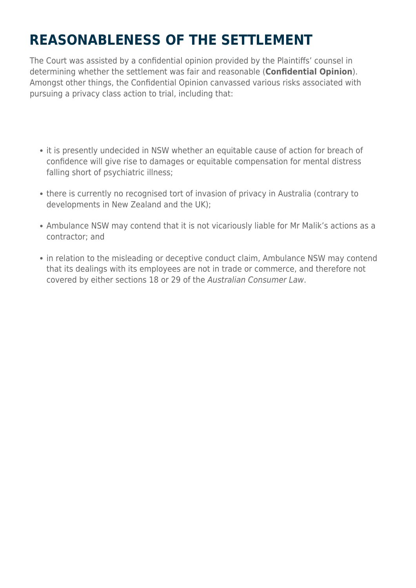# **REASONABLENESS OF THE SETTLEMENT**

The Court was assisted by a confidential opinion provided by the Plaintiffs' counsel in determining whether the settlement was fair and reasonable (**Confidential Opinion**). Amongst other things, the Confidential Opinion canvassed various risks associated with pursuing a privacy class action to trial, including that:

- it is presently undecided in NSW whether an equitable cause of action for breach of confidence will give rise to damages or equitable compensation for mental distress falling short of psychiatric illness;
- there is currently no recognised tort of invasion of privacy in Australia (contrary to developments in New Zealand and the UK);
- Ambulance NSW may contend that it is not vicariously liable for Mr Malik's actions as a contractor; and
- in relation to the misleading or deceptive conduct claim, Ambulance NSW may contend that its dealings with its employees are not in trade or commerce, and therefore not covered by either sections 18 or 29 of the Australian Consumer Law.